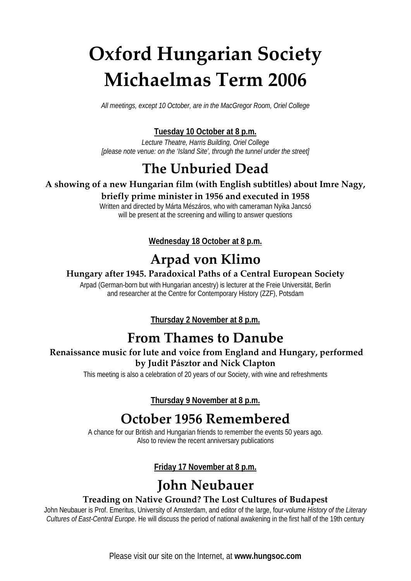# **Oxford Hungarian Society Michaelmas Term 2006**

*All meetings, except 10 October, are in the MacGregor Room, Oriel College*

#### **Tuesday 10 October at 8 p.m.**

*Lecture Theatre, Harris Building, Oriel College [please note venue: on the 'Island Site', through the tunnel under the street]*

### **The Unburied Dead**

#### **A showing of a new Hungarian film (with English subtitles) about Imre Nagy,**

#### **briefly prime minister in 1956 and executed in 1958**

Written and directed by Márta Mészáros, who with cameraman Nyika Jancsó will be present at the screening and willing to answer questions

#### **Wednesday 18 October at 8 p.m.**

### **Arpad von Klimo**

#### **Hungary after 1945. Paradoxical Paths of a Central European Society**

Arpad (German-born but with Hungarian ancestry) is lecturer at the Freie Universität, Berlin and researcher at the Centre for Contemporary History (ZZF), Potsdam

**Thursday 2 November at 8 p.m.**

### **From Thames to Danube**

#### **Renaissance music for lute and voice from England and Hungary, performed by Judit Pásztor and Nick Clapton**

This meeting is also a celebration of 20 years of our Society, with wine and refreshments

**Thursday 9 November at 8 p.m.**

### **October 1956 Remembered**

A chance for our British and Hungarian friends to remember the events 50 years ago. Also to review the recent anniversary publications

#### **Friday 17 November at 8 p.m.**

### **John Neubauer**

#### **Treading on Native Ground? The Lost Cultures of Budapest**

John Neubauer is Prof. Emeritus, University of Amsterdam, and editor of the large, four-volume *History of the Literary Cultures of East-Central Europe*. He will discuss the period of national awakening in the first half of the 19th century